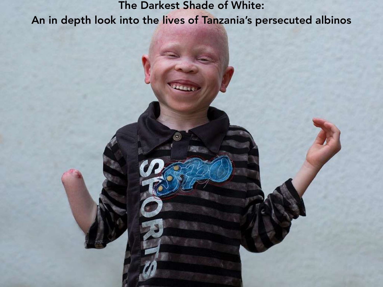## The Darkest Shade of White: An in depth look into the lives of Tanzania's persecuted albinos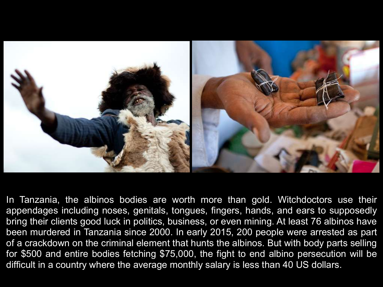

In Tanzania, the albinos bodies are worth more than gold. Witchdoctors use their appendages including noses, genitals, tongues, fingers, hands, and ears to supposedly bring their clients good luck in politics, business, or even mining. At least 76 albinos have been murdered in Tanzania since 2000. In early 2015, 200 people were arrested as part of a crackdown on the criminal element that hunts the albinos. But with body parts selling for \$500 and entire bodies fetching \$75,000, the fight to end albino persecution will be difficult in a country where the average monthly salary is less than 40 US dollars.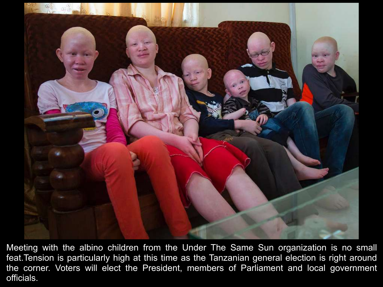

Meeting with the albino children from the Under The Same Sun organization is no small feat.Tension is particularly high at this time as the Tanzanian general election is right around the corner. Voters will elect the President, members of Parliament and local government officials.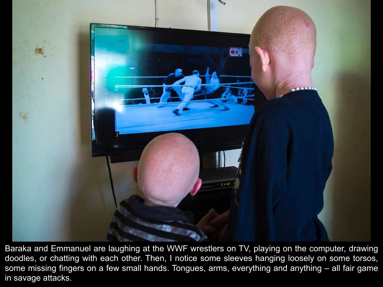

Baraka and Emmanuel are laughing at the WWF wrestlers on TV, playing on the computer, drawing doodles, or chatting with each other. Then, I notice some sleeves hanging loosely on some torsos, some missing fingers on a few small hands. Tongues, arms, everything and anything – all fair game in savage attacks.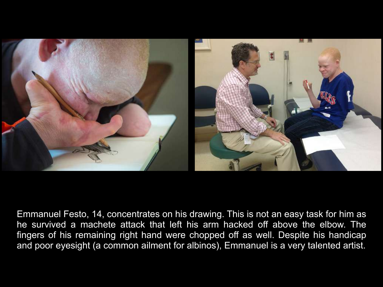

Emmanuel Festo, 14, concentrates on his drawing. This is not an easy task for him as he survived a machete attack that left his arm hacked off above the elbow. The fingers of his remaining right hand were chopped off as well. Despite his handicap and poor eyesight (a common ailment for albinos), Emmanuel is a very talented artist.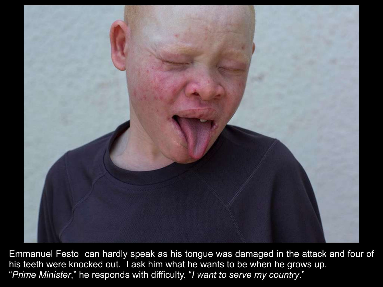

Emmanuel Festo can hardly speak as his tongue was damaged in the attack and four of his teeth were knocked out. I ask him what he wants to be when he grows up. "*Prime Minister*," he responds with difficulty. "*I want to serve my country*."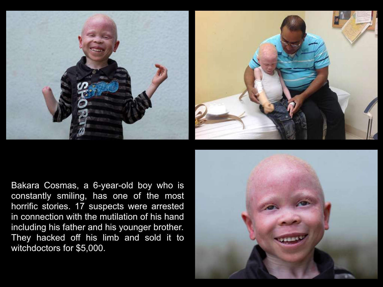



Bakara Cosmas, a 6-year-old boy who is constantly smiling, has one of the most horrific stories. 17 suspects were arrested in connection with the mutilation of his hand including his father and his younger brother. They hacked off his limb and sold it to witchdoctors for \$5,000.

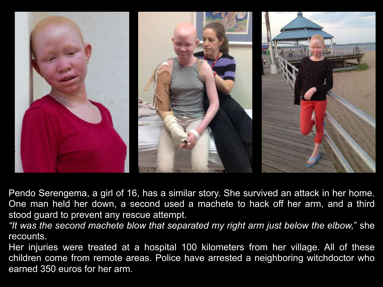

Pendo Serengema, a girl of 16, has a similar story. She survived an attack in her home. One man held her down, a second used a machete to hack off her arm, and a third stood guard to prevent any rescue attempt.

*"It was the second machete blow that separated my right arm just below the elbow,*" she recounts.

Her injuries were treated at a hospital 100 kilometers from her village. All of these children come from remote areas. Police have arrested a neighboring witchdoctor who earned 350 euros for her arm.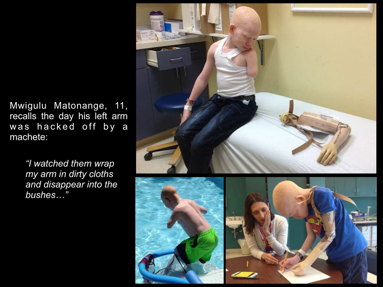Mwigulu Matonange, 11, recalls the day his left arm was hacked off by a machete:

> *"I watched them wrap my arm in dirty cloths and disappear into the bushes…"*

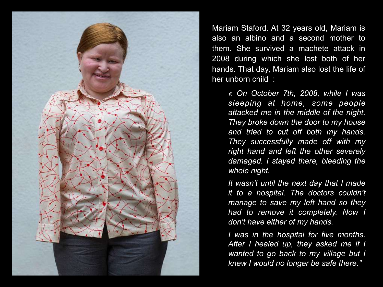

Mariam Staford. At 32 years old, Mariam is also an albino and a second mother to them. She survived a machete attack in 2008 during which she lost both of her hands. That day, Mariam also lost the life of her unborn child :

> *« On October 7th, 2008, while I was sleeping at home, some people attacked me in the middle of the night. They broke down the door to my house and tried to cut off both my hands. They successfully made off with my right hand and left the other severely damaged. I stayed there, bleeding the whole night.*

> *It wasn't until the next day that I made it to a hospital. The doctors couldn't manage to save my left hand so they had to remove it completely. Now I don't have either of my hands.*

> *I was in the hospital for five months. After I healed up, they asked me if I wanted to go back to my village but I knew I would no longer be safe there."*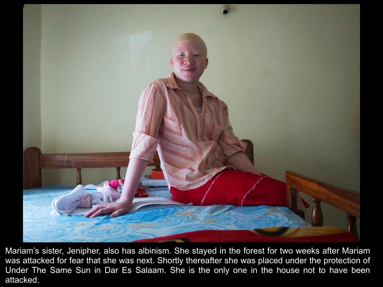

Mariam's sister, Jenipher, also has albinism. She stayed in the forest for two weeks after Mariam was attacked for fear that she was next. Shortly thereafter she was placed under the protection of Under The Same Sun in Dar Es Salaam. She is the only one in the house not to have been attacked.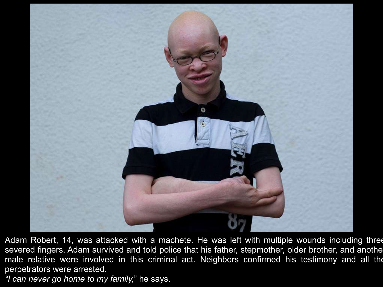

Adam Robert, 14, was attacked with a machete. He was left with multiple wounds including three severed fingers. Adam survived and told police that his father, stepmother, older brother, and anothe male relative were involved in this criminal act. Neighbors confirmed his testimony and all the perpetrators were arrested.

*"I can never go home to my family,*" he says.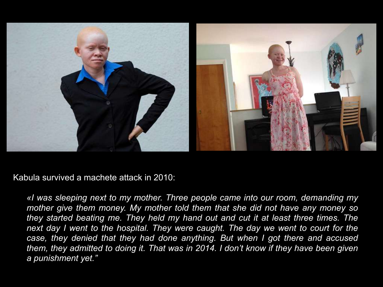

Kabula survived a machete attack in 2010:

*«I was sleeping next to my mother. Three people came into our room, demanding my mother give them money. My mother told them that she did not have any money so they started beating me. They held my hand out and cut it at least three times. The*  next day I went to the hospital. They were caught. The day we went to court for the case, they denied that they had done anything. But when I got there and accused *them, they admitted to doing it. That was in 2014. I don't know if they have been given a punishment yet."*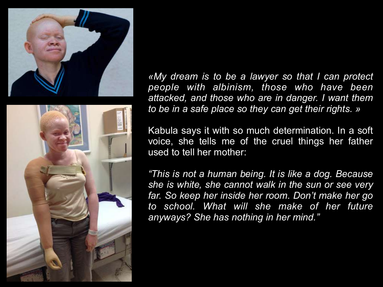



*«My dream is to be a lawyer so that I can protect people with albinism, those who have been attacked, and those who are in danger. I want them to be in a safe place so they can get their rights. »* 

Kabula says it with so much determination. In a soft voice, she tells me of the cruel things her father used to tell her mother:

*"This is not a human being. It is like a dog. Because she is white, she cannot walk in the sun or see very far. So keep her inside her room. Don't make her go to school. What will she make of her future anyways? She has nothing in her mind."*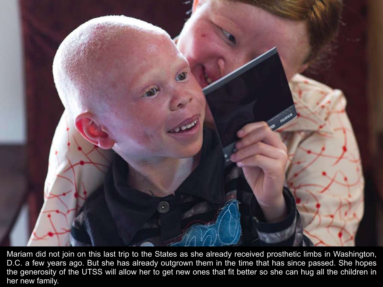

Mariam did not join on this last trip to the States as she already received prosthetic limbs in Washington, D.C. a few years ago. But she has already outgrown them in the time that has since passed. She hopes the generosity of the UTSS will allow her to get new ones that fit better so she can hug all the children in her new family.